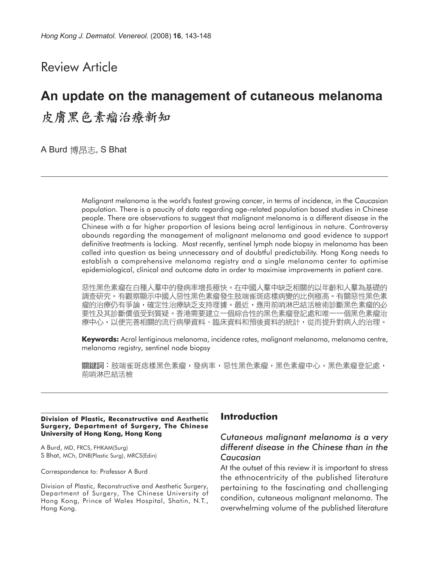Review Article

# **An update on the management of cutaneous melanoma** 皮膚黑色素瘤治療新知

A Burd 博昂志, S Bhat

Malignant melanoma is the world's fastest growing cancer, in terms of incidence, in the Caucasian population. There is a paucity of data regarding age-related population based studies in Chinese people. There are observations to suggest that malignant melanoma is a different disease in the Chinese with a far higher proportion of lesions being acral lentiginous in nature. Controversy abounds regarding the management of malignant melanoma and good evidence to support definitive treatments is lacking. Most recently, sentinel lymph node biopsy in melanoma has been called into question as being unnecessary and of doubtful predictability. Hong Kong needs to establish a comprehensive melanoma registry and a single melanoma center to optimise epidemiological, clinical and outcome data in order to maximise improvements in patient care.

惡性黑色素瘤在白種人羣中的發病率增長極快。在中國人羣中缺乏相關的以年齡和人羣為基礎的 調查研究。有觀察顯示中國人惡性黑色素瘤發生肢端雀斑痣樣病變的比例極高。有關惡性黑色素 瘤的治療仍有爭論,確定性治療缺乏支持理據。最近,應用前哨淋巴結活檢術診斷黑色素瘤的必 要性及其診斷價值受到質疑。香港需要建立一個綜合性的黑色素瘤登記處和唯一 一個黑色素瘤治 療中心,以便完善相關的流行病學資料、臨床資料和預後資料的統計,從而提升對病人的治理。

**Keywords:** Acral lentiginous melanoma, incidence rates, malignant melanoma, melanoma centre, melanoma registry, sentinel node biopsy

關鍵詞:肢端雀斑痣樣黑色素瘤,發病率,惡性黑色素瘤,黑色素瘤中心,黑色素瘤登記處, 前哨淋巴結活檢

#### **Division of Plastic, Reconstructive and Aesthetic Surgery, Department of Surgery, The Chinese University of Hong Kong, Hong Kong**

A Burd, MD, FRCS, FHKAM(Surg) S Bhat, MCh, DNB(Plastic Surg), MRCS(Edin)

Correspondence to: Professor A Burd

Division of Plastic, Reconstructive and Aesthetic Surgery, Department of Surgery, The Chinese University of Hong Kong, Prince of Wales Hospital, Shatin, N.T., Hong Kong.

## **Introduction**

## *Cutaneous malignant melanoma is a very different disease in the Chinese than in the Caucasian*

At the outset of this review it is important to stress the ethnocentricity of the published literature pertaining to the fascinating and challenging condition, cutaneous malignant melanoma. The overwhelming volume of the published literature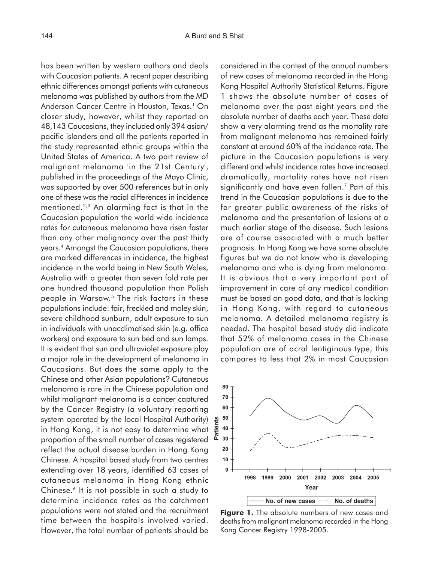with Caucasian patients. A recent paper describing ethnic differences amongst patients with cutaneous melanoma was published by authors from the MD Anderson Cancer Centre in Houston, Texas.<sup>1</sup> On closer study, however, whilst they reported on 48,143 Caucasians, they included only 394 asian/ pacific islanders and all the patients reported in the study represented ethnic groups within the United States of America. A two part review of malignant melanoma 'in the 21st Century', published in the proceedings of the Mayo Clinic, was supported by over 500 references but in only one of these was the racial differences in incidence mentioned.2,3 An alarming fact is that in the Caucasian population the world wide incidence rates for cutaneous melanoma have risen faster than any other malignancy over the past thirty years.4 Amongst the Caucasian populations, there are marked differences in incidence, the highest incidence in the world being in New South Wales, Australia with a greater than seven fold rate per one hundred thousand population than Polish people in Warsaw.<sup>5</sup> The risk factors in these populations include: fair, freckled and moley skin, severe childhood sunburn, adult exposure to sun in individuals with unacclimatised skin (e.g. office workers) and exposure to sun bed and sun lamps. It is evident that sun and ultraviolet exposure play a major role in the development of melanoma in Caucasians. But does the same apply to the Chinese and other Asian populations? Cutaneous melanoma is rare in the Chinese population and whilst malignant melanoma is a cancer captured by the Cancer Registry (a voluntary reporting system operated by the local Hospital Authority) in Hong Kong, it is not easy to determine what proportion of the small number of cases registered reflect the actual disease burden in Hong Kong Chinese. A hospital based study from two centres extending over 18 years, identified 63 cases of cutaneous melanoma in Hong Kong ethnic Chinese.6 It is not possible in such a study to determine incidence rates as the catchment populations were not stated and the recruitment time between the hospitals involved varied. However, the total number of patients should be

has been written by western authors and deals

considered in the context of the annual numbers of new cases of melanoma recorded in the Hong Kong Hospital Authority Statistical Returns. Figure 1 shows the absolute number of cases of melanoma over the past eight years and the absolute number of deaths each year. These data show a very alarming trend as the mortality rate from malignant melanoma has remained fairly constant at around 60% of the incidence rate. The picture in the Caucasian populations is very different and whilst incidence rates have increased dramatically, mortality rates have not risen significantly and have even fallen.7 Part of this trend in the Caucasian populations is due to the far greater public awareness of the risks of melanoma and the presentation of lesions at a much earlier stage of the disease. Such lesions are of course associated with a much better prognosis. In Hong Kong we have some absolute figures but we do not know who is developing melanoma and who is dying from melanoma. It is obvious that a very important part of improvement in care of any medical condition must be based on good data, and that is lacking in Hong Kong, with regard to cutaneous melanoma. A detailed melanoma registry is needed. The hospital based study did indicate that 52% of melanoma cases in the Chinese population are of acral lentiginous type, this compares to less that 2% in most Caucasian



**Figure 1.** The absolute numbers of new cases and deaths from malignant melanoma recorded in the Hong Kong Cancer Registry 1998-2005.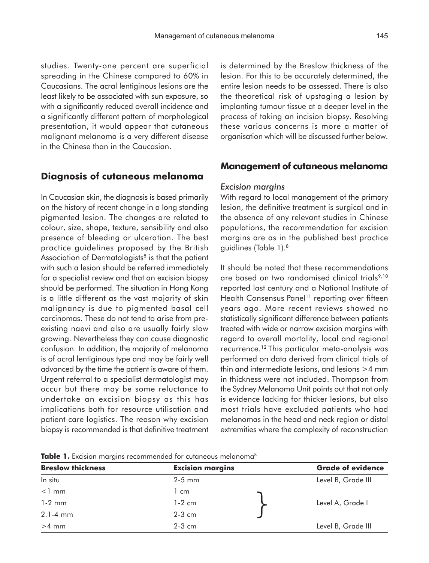studies. Twenty-one percent are superficial spreading in the Chinese compared to 60% in Caucasians. The acral lentiginous lesions are the least likely to be associated with sun exposure, so with a significantly reduced overall incidence and a significantly different pattern of morphological presentation, it would appear that cutaneous malignant melanoma is a very different disease in the Chinese than in the Caucasian.

## **Diagnosis of cutaneous melanoma**

In Caucasian skin, the diagnosis is based primarily on the history of recent change in a long standing pigmented lesion. The changes are related to colour, size, shape, texture, sensibility and also presence of bleeding or ulceration. The best practice guidelines proposed by the British Association of Dermatologists $8$  is that the patient with such a lesion should be referred immediately for a specialist review and that an excision biopsy should be performed. The situation in Hong Kong is a little different as the vast majority of skin malignancy is due to pigmented basal cell carcinomas. These do not tend to arise from preexisting naevi and also are usually fairly slow growing. Nevertheless they can cause diagnostic confusion. In addition, the majority of melanoma is of acral lentiginous type and may be fairly well advanced by the time the patient is aware of them. Urgent referral to a specialist dermatologist may occur but there may be some reluctance to undertake an excision biopsy as this has implications both for resource utilisation and patient care logistics. The reason why excision biopsy is recommended is that definitive treatment

is determined by the Breslow thickness of the lesion. For this to be accurately determined, the entire lesion needs to be assessed. There is also the theoretical risk of upstaging a lesion by implanting tumour tissue at a deeper level in the process of taking an incision biopsy. Resolving these various concerns is more a matter of organisation which will be discussed further below.

### **Management of cutaneous melanoma**

#### *Excision margins*

With regard to local management of the primary lesion, the definitive treatment is surgical and in the absence of any relevant studies in Chinese populations, the recommendation for excision margins are as in the published best practice guidlines (Table 1).8

It should be noted that these recommendations are based on two randomised clinical trials<sup>9,10</sup> reported last century and a National Institute of Health Consensus Panel<sup>11</sup> reporting over fifteen years ago. More recent reviews showed no statistically significant difference between patients treated with wide or narrow excision margins with regard to overall mortality, local and regional recurrence.12 This particular meta-analysis was performed on data derived from clinical trials of thin and intermediate lesions, and lesions >4 mm in thickness were not included. Thompson from the Sydney Melanoma Unit points out that not only is evidence lacking for thicker lesions, but also most trials have excluded patients who had melanomas in the head and neck region or distal extremities where the complexity of reconstruction

|  |  | <b>Table 1.</b> Excision margins recommended for cutaneous melanoma <sup>8</sup> |  |  |
|--|--|----------------------------------------------------------------------------------|--|--|

| <b>Breslow thickness</b> | <b>Excision margins</b> | <b>Grade of evidence</b> |                    |
|--------------------------|-------------------------|--------------------------|--------------------|
| In situ                  | $2-5$ mm                |                          | Level B, Grade III |
| $<$ 1 mm                 | 1 cm                    |                          |                    |
| $1-2$ mm                 | $1-2$ cm                |                          | Level A, Grade I   |
| $2.1 - 4$ mm             | $2-3$ cm                |                          |                    |
| $>4$ mm                  | $2-3$ cm                |                          | Level B, Grade III |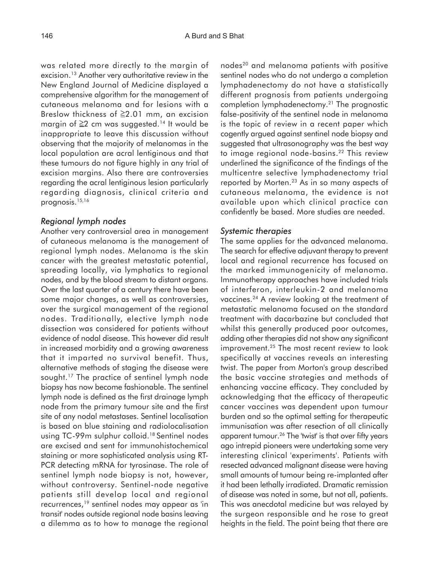was related more directly to the margin of excision.13 Another very authoritative review in the New England Journal of Medicine displayed a comprehensive algorithm for the management of cutaneous melanoma and for lesions with a Breslow thickness of  $\geq 2.01$  mm, an excision margin of ≥2 cm was suggested.14 It would be inappropriate to leave this discussion without observing that the majority of melanomas in the local population are acral lentiginous and that these tumours do not figure highly in any trial of excision margins. Also there are controversies regarding the acral lentiginous lesion particularly regarding diagnosis, clinical criteria and prognosis.<sup>15,16</sup>

#### *Regional lymph nodes*

Another very controversial area in management of cutaneous melanoma is the management of regional lymph nodes. Melanoma is the skin cancer with the greatest metastatic potential, spreading locally, via lymphatics to regional nodes, and by the blood stream to distant organs. Over the last quarter of a century there have been some major changes, as well as controversies, over the surgical management of the regional nodes. Traditionally, elective lymph node dissection was considered for patients without evidence of nodal disease. This however did result in increased morbidity and a growing awareness that it imparted no survival benefit. Thus, alternative methods of staging the disease were sought.<sup>17</sup> The practice of sentinel lymph node biopsy has now become fashionable. The sentinel lymph node is defined as the first drainage lymph node from the primary tumour site and the first site of any nodal metastases. Sentinel localisation is based on blue staining and radiolocalisation using TC-99m sulphur colloid.18 Sentinel nodes are excised and sent for immunohistochemical staining or more sophisticated analysis using RT-PCR detecting mRNA for tyrosinase. The role of sentinel lymph node biopsy is not, however, without controversy. Sentinel-node negative patients still develop local and regional recurrences,19 sentinel nodes may appear as 'in transit' nodes outside regional node basins leaving a dilemma as to how to manage the regional nodes20 and melanoma patients with positive sentinel nodes who do not undergo a completion lymphadenectomy do not have a statistically different prognosis from patients undergoing completion lymphadenectomy.21 The prognostic false-positivity of the sentinel node in melanoma is the topic of review in a recent paper which cogently argued against sentinel node biopsy and suggested that ultrasonography was the best way to image regional node-basins.<sup>22</sup> This review underlined the significance of the findings of the multicentre selective lymphadenectomy trial reported by Morten.23 As in so many aspects of cutaneous melanoma, the evidence is not available upon which clinical practice can confidently be based. More studies are needed.

#### *Systemic therapies*

The same applies for the advanced melanoma. The search for effective adjuvant therapy to prevent local and regional recurrence has focused on the marked immunogenicity of melanoma. Immunotherapy approaches have included trials of interferon, interleukin-2 and melanoma vaccines.24 A review looking at the treatment of metastatic melanoma focused on the standard treatment with dacarbazine but concluded that whilst this generally produced poor outcomes, adding other therapies did not show any significant improvement.<sup>25</sup> The most recent review to look specifically at vaccines reveals an interesting twist. The paper from Morton's group described the basic vaccine strategies and methods of enhancing vaccine efficacy. They concluded by acknowledging that the efficacy of therapeutic cancer vaccines was dependent upon tumour burden and so the optimal setting for therapeutic immunisation was after resection of all clinically apparent tumour.<sup>26</sup> The 'twist' is that over fifty years ago intrepid pioneers were undertaking some very interesting clinical 'experiments'. Patients with resected advanced malignant disease were having small amounts of tumour being re-implanted after it had been lethally irradiated. Dramatic remission of disease was noted in some, but not all, patients. This was anecdotal medicine but was relayed by the surgeon responsible and he rose to great heights in the field. The point being that there are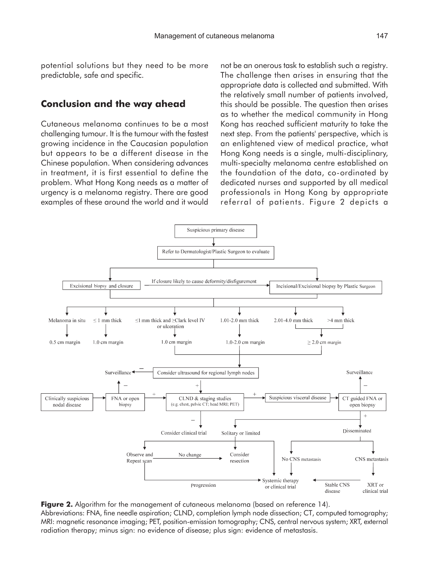potential solutions but they need to be more predictable, safe and specific.

## **Conclusion and the way ahead**

Cutaneous melanoma continues to be a most challenging tumour. It is the tumour with the fastest growing incidence in the Caucasian population but appears to be a different disease in the Chinese population. When considering advances in treatment, it is first essential to define the problem. What Hong Kong needs as a matter of urgency is a melanoma registry. There are good examples of these around the world and it would not be an onerous task to establish such a registry. The challenge then arises in ensuring that the appropriate data is collected and submitted. With the relatively small number of patients involved, this should be possible. The question then arises as to whether the medical community in Hong Kong has reached sufficient maturity to take the next step. From the patients' perspective, which is an enlightened view of medical practice, what Hong Kong needs is a single, multi-disciplinary, multi-specialty melanoma centre established on the foundation of the data, co-ordinated by dedicated nurses and supported by all medical professionals in Hong Kong by appropriate referral of patients. Figure 2 depicts a



**Figure 2.** Algorithm for the management of cutaneous melanoma (based on reference 14). Abbreviations: FNA, fine needle aspiration; CLND, completion lymph node dissection; CT, computed tomography; MRI: magnetic resonance imaging; PET, position-emission tomography; CNS, central nervous system; XRT, external radiation therapy; minus sign: no evidence of disease; plus sign: evidence of metastasis.